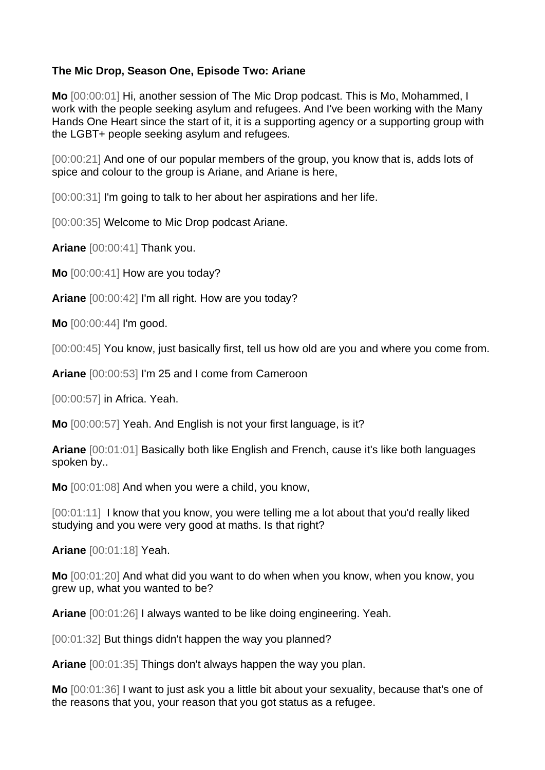## **The Mic Drop, Season One, Episode Two: Ariane**

**Mo** [00:00:01] Hi, another session of The Mic Drop podcast. This is Mo, Mohammed, I work with the people seeking asylum and refugees. And I've been working with the Many Hands One Heart since the start of it, it is a supporting agency or a supporting group with the LGBT+ people seeking asylum and refugees.

[00:00:21] And one of our popular members of the group, you know that is, adds lots of spice and colour to the group is Ariane, and Ariane is here,

[00:00:31] I'm going to talk to her about her aspirations and her life.

[00:00:35] Welcome to Mic Drop podcast Ariane.

**Ariane** [00:00:41] Thank you.

**Mo** [00:00:41] How are you today?

**Ariane** [00:00:42] I'm all right. How are you today?

**Mo** [00:00:44] I'm good.

[00:00:45] You know, just basically first, tell us how old are you and where you come from.

**Ariane** [00:00:53] I'm 25 and I come from Cameroon

[00:00:57] in Africa. Yeah.

**Mo** [00:00:57] Yeah. And English is not your first language, is it?

**Ariane** [00:01:01] Basically both like English and French, cause it's like both languages spoken by..

**Mo** [00:01:08] And when you were a child, you know,

[00:01:11] I know that you know, you were telling me a lot about that you'd really liked studying and you were very good at maths. Is that right?

**Ariane** [00:01:18] Yeah.

**Mo** [00:01:20] And what did you want to do when when you know, when you know, you grew up, what you wanted to be?

**Ariane** [00:01:26] I always wanted to be like doing engineering. Yeah.

[00:01:32] But things didn't happen the way you planned?

**Ariane** [00:01:35] Things don't always happen the way you plan.

**Mo** [00:01:36] I want to just ask you a little bit about your sexuality, because that's one of the reasons that you, your reason that you got status as a refugee.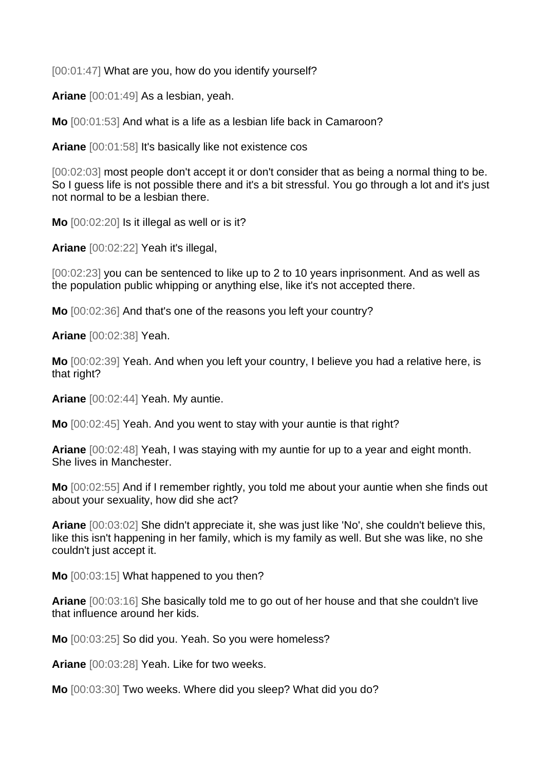[00:01:47] What are you, how do you identify yourself?

**Ariane** [00:01:49] As a lesbian, yeah.

**Mo** [00:01:53] And what is a life as a lesbian life back in Camaroon?

**Ariane** [00:01:58] It's basically like not existence cos

[00:02:03] most people don't accept it or don't consider that as being a normal thing to be. So I guess life is not possible there and it's a bit stressful. You go through a lot and it's just not normal to be a lesbian there.

**Mo** [00:02:20] Is it illegal as well or is it?

**Ariane** [00:02:22] Yeah it's illegal,

[00:02:23] you can be sentenced to like up to 2 to 10 years inprisonment. And as well as the population public whipping or anything else, like it's not accepted there.

**Mo** [00:02:36] And that's one of the reasons you left your country?

**Ariane** [00:02:38] Yeah.

**Mo** [00:02:39] Yeah. And when you left your country, I believe you had a relative here, is that right?

**Ariane** [00:02:44] Yeah. My auntie.

**Mo** [00:02:45] Yeah. And you went to stay with your auntie is that right?

**Ariane** [00:02:48] Yeah, I was staying with my auntie for up to a year and eight month. She lives in Manchester.

**Mo** [00:02:55] And if I remember rightly, you told me about your auntie when she finds out about your sexuality, how did she act?

**Ariane** [00:03:02] She didn't appreciate it, she was just like 'No', she couldn't believe this, like this isn't happening in her family, which is my family as well. But she was like, no she couldn't just accept it.

**Mo** [00:03:15] What happened to you then?

**Ariane** [00:03:16] She basically told me to go out of her house and that she couldn't live that influence around her kids.

**Mo** [00:03:25] So did you. Yeah. So you were homeless?

**Ariane** [00:03:28] Yeah. Like for two weeks.

**Mo** [00:03:30] Two weeks. Where did you sleep? What did you do?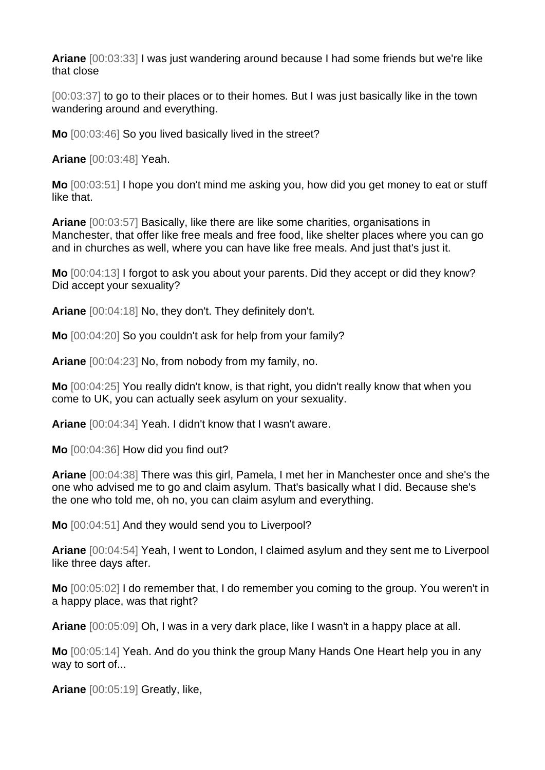**Ariane** [00:03:33] I was just wandering around because I had some friends but we're like that close

[00:03:37] to go to their places or to their homes. But I was just basically like in the town wandering around and everything.

**Mo** [00:03:46] So you lived basically lived in the street?

**Ariane** [00:03:48] Yeah.

**Mo** [00:03:51] I hope you don't mind me asking you, how did you get money to eat or stuff like that.

**Ariane** [00:03:57] Basically, like there are like some charities, organisations in Manchester, that offer like free meals and free food, like shelter places where you can go and in churches as well, where you can have like free meals. And just that's just it.

**Mo** [00:04:13] I forgot to ask you about your parents. Did they accept or did they know? Did accept your sexuality?

**Ariane** [00:04:18] No, they don't. They definitely don't.

**Mo** [00:04:20] So you couldn't ask for help from your family?

**Ariane** [00:04:23] No, from nobody from my family, no.

**Mo** [00:04:25] You really didn't know, is that right, you didn't really know that when you come to UK, you can actually seek asylum on your sexuality.

**Ariane** [00:04:34] Yeah. I didn't know that I wasn't aware.

**Mo** [00:04:36] How did you find out?

**Ariane** [00:04:38] There was this girl, Pamela, I met her in Manchester once and she's the one who advised me to go and claim asylum. That's basically what I did. Because she's the one who told me, oh no, you can claim asylum and everything.

**Mo** [00:04:51] And they would send you to Liverpool?

**Ariane** [00:04:54] Yeah, I went to London, I claimed asylum and they sent me to Liverpool like three days after.

**Mo** [00:05:02] I do remember that, I do remember you coming to the group. You weren't in a happy place, was that right?

**Ariane** [00:05:09] Oh, I was in a very dark place, like I wasn't in a happy place at all.

**Mo** [00:05:14] Yeah. And do you think the group Many Hands One Heart help you in any way to sort of...

**Ariane** [00:05:19] Greatly, like,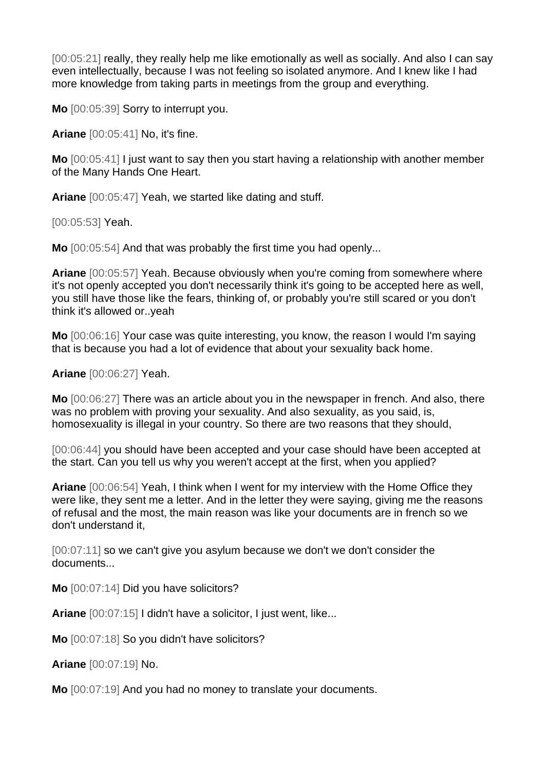[00:05:21] really, they really help me like emotionally as well as socially. And also I can sav even intellectually, because I was not feeling so isolated anymore. And I knew like I had more knowledge from taking parts in meetings from the group and everything.

**Mo** [00:05:39] Sorry to interrupt you.

**Ariane** [00:05:41] No, it's fine.

**Mo** [00:05:41] I just want to say then you start having a relationship with another member of the Many Hands One Heart.

**Ariane** [00:05:47] Yeah, we started like dating and stuff.

[00:05:53] Yeah.

**Mo** [00:05:54] And that was probably the first time you had openly...

**Ariane** [00:05:57] Yeah. Because obviously when you're coming from somewhere where it's not openly accepted you don't necessarily think it's going to be accepted here as well, you still have those like the fears, thinking of, or probably you're still scared or you don't think it's allowed or..yeah

**Mo** [00:06:16] Your case was quite interesting, you know, the reason I would I'm saying that is because you had a lot of evidence that about your sexuality back home.

**Ariane** [00:06:27] Yeah.

**Mo** [00:06:27] There was an article about you in the newspaper in french. And also, there was no problem with proving your sexuality. And also sexuality, as you said, is, homosexuality is illegal in your country. So there are two reasons that they should,

[00:06:44] you should have been accepted and your case should have been accepted at the start. Can you tell us why you weren't accept at the first, when you applied?

**Ariane** [00:06:54] Yeah, I think when I went for my interview with the Home Office they were like, they sent me a letter. And in the letter they were saying, giving me the reasons of refusal and the most, the main reason was like your documents are in french so we don't understand it,

[00:07:11] so we can't give you asylum because we don't we don't consider the documents...

**Mo** [00:07:14] Did you have solicitors?

**Ariane** [00:07:15] I didn't have a solicitor, I just went, like...

**Mo** [00:07:18] So you didn't have solicitors?

**Ariane** [00:07:19] No.

**Mo** [00:07:19] And you had no money to translate your documents.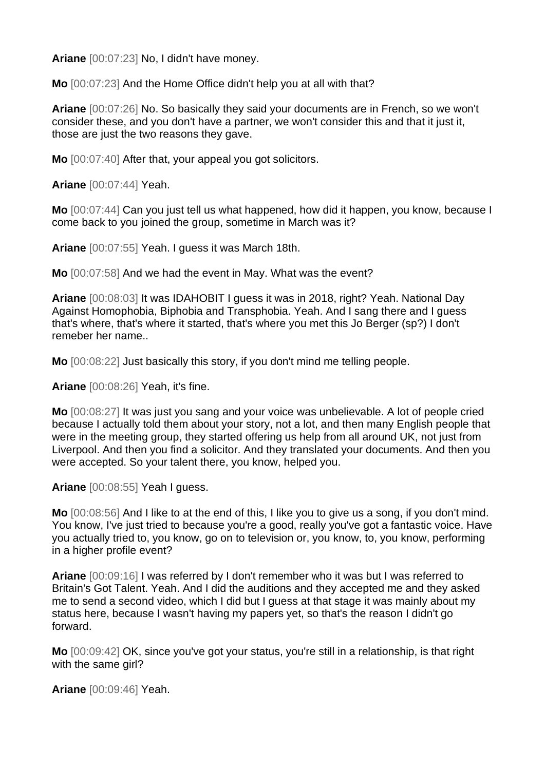**Ariane** [00:07:23] No, I didn't have money.

**Mo** [00:07:23] And the Home Office didn't help you at all with that?

**Ariane** [00:07:26] No. So basically they said your documents are in French, so we won't consider these, and you don't have a partner, we won't consider this and that it just it, those are just the two reasons they gave.

**Mo** [00:07:40] After that, your appeal you got solicitors.

**Ariane** [00:07:44] Yeah.

**Mo** [00:07:44] Can you just tell us what happened, how did it happen, you know, because I come back to you joined the group, sometime in March was it?

**Ariane** [00:07:55] Yeah. I guess it was March 18th.

**Mo** [00:07:58] And we had the event in May. What was the event?

**Ariane** [00:08:03] It was IDAHOBIT I guess it was in 2018, right? Yeah. National Day Against Homophobia, Biphobia and Transphobia. Yeah. And I sang there and I guess that's where, that's where it started, that's where you met this Jo Berger (sp?) I don't remeber her name..

**Mo** [00:08:22] Just basically this story, if you don't mind me telling people.

**Ariane** [00:08:26] Yeah, it's fine.

**Mo** [00:08:27] It was just you sang and your voice was unbelievable. A lot of people cried because I actually told them about your story, not a lot, and then many English people that were in the meeting group, they started offering us help from all around UK, not just from Liverpool. And then you find a solicitor. And they translated your documents. And then you were accepted. So your talent there, you know, helped you.

**Ariane** [00:08:55] Yeah I guess.

**Mo** [00:08:56] And I like to at the end of this, I like you to give us a song, if you don't mind. You know, I've just tried to because you're a good, really you've got a fantastic voice. Have you actually tried to, you know, go on to television or, you know, to, you know, performing in a higher profile event?

**Ariane** [00:09:16] I was referred by I don't remember who it was but I was referred to Britain's Got Talent. Yeah. And I did the auditions and they accepted me and they asked me to send a second video, which I did but I guess at that stage it was mainly about my status here, because I wasn't having my papers yet, so that's the reason I didn't go forward.

**Mo** [00:09:42] OK, since you've got your status, you're still in a relationship, is that right with the same girl?

**Ariane** [00:09:46] Yeah.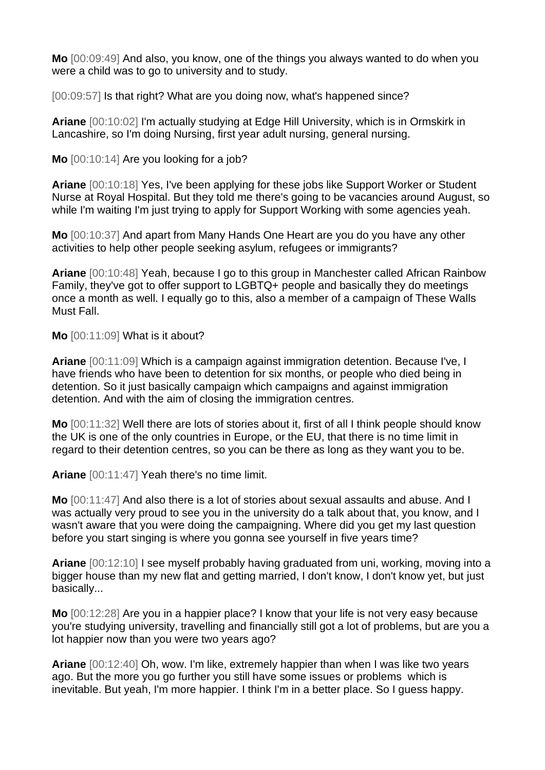**Mo** [00:09:49] And also, you know, one of the things you always wanted to do when you were a child was to go to university and to study.

[00:09:57] Is that right? What are you doing now, what's happened since?

**Ariane** [00:10:02] I'm actually studying at Edge Hill University, which is in Ormskirk in Lancashire, so I'm doing Nursing, first year adult nursing, general nursing.

**Mo** [00:10:14] Are you looking for a job?

**Ariane** [00:10:18] Yes, I've been applying for these jobs like Support Worker or Student Nurse at Royal Hospital. But they told me there's going to be vacancies around August, so while I'm waiting I'm just trying to apply for Support Working with some agencies yeah.

**Mo** [00:10:37] And apart from Many Hands One Heart are you do you have any other activities to help other people seeking asylum, refugees or immigrants?

**Ariane** [00:10:48] Yeah, because I go to this group in Manchester called African Rainbow Family, they've got to offer support to LGBTQ+ people and basically they do meetings once a month as well. I equally go to this, also a member of a campaign of These Walls Must Fall.

**Mo** [00:11:09] What is it about?

**Ariane** [00:11:09] Which is a campaign against immigration detention. Because I've, I have friends who have been to detention for six months, or people who died being in detention. So it just basically campaign which campaigns and against immigration detention. And with the aim of closing the immigration centres.

**Mo** [00:11:32] Well there are lots of stories about it, first of all I think people should know the UK is one of the only countries in Europe, or the EU, that there is no time limit in regard to their detention centres, so you can be there as long as they want you to be.

**Ariane** [00:11:47] Yeah there's no time limit.

**Mo** [00:11:47] And also there is a lot of stories about sexual assaults and abuse. And I was actually very proud to see you in the university do a talk about that, you know, and I wasn't aware that you were doing the campaigning. Where did you get my last question before you start singing is where you gonna see yourself in five years time?

**Ariane** [00:12:10] I see myself probably having graduated from uni, working, moving into a bigger house than my new flat and getting married, I don't know, I don't know yet, but just basically...

**Mo** [00:12:28] Are you in a happier place? I know that your life is not very easy because you're studying university, travelling and financially still got a lot of problems, but are you a lot happier now than you were two years ago?

**Ariane** [00:12:40] Oh, wow. I'm like, extremely happier than when I was like two years ago. But the more you go further you still have some issues or problems which is inevitable. But yeah, I'm more happier. I think I'm in a better place. So I guess happy.